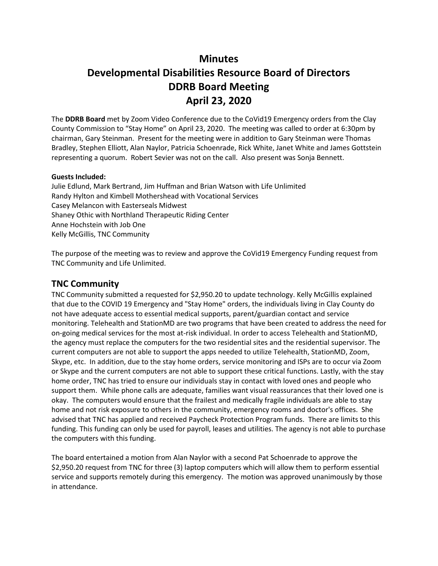# **Minutes**

# **Developmental Disabilities Resource Board of Directors DDRB Board Meeting April 23, 2020**

The **DDRB Board** met by Zoom Video Conference due to the CoVid19 Emergency orders from the Clay County Commission to "Stay Home" on April 23, 2020. The meeting was called to order at 6:30pm by chairman, Gary Steinman. Present for the meeting were in addition to Gary Steinman were Thomas Bradley, Stephen Elliott, Alan Naylor, Patricia Schoenrade, Rick White, Janet White and James Gottstein representing a quorum. Robert Sevier was not on the call. Also present was Sonja Bennett.

#### **Guests Included:**

Julie Edlund, Mark Bertrand, Jim Huffman and Brian Watson with Life Unlimited Randy Hylton and Kimbell Mothershead with Vocational Services Casey Melancon with Easterseals Midwest Shaney Othic with Northland Therapeutic Riding Center Anne Hochstein with Job One Kelly McGillis, TNC Community

The purpose of the meeting was to review and approve the CoVid19 Emergency Funding request from TNC Community and Life Unlimited.

# **TNC Community**

TNC Community submitted a requested for \$2,950.20 to update technology. Kelly McGillis explained that due to the COVID 19 Emergency and "Stay Home" orders, the individuals living in Clay County do not have adequate access to essential medical supports, parent/guardian contact and service monitoring. Telehealth and StationMD are two programs that have been created to address the need for on-going medical services for the most at-risk individual. In order to access Telehealth and StationMD, the agency must replace the computers for the two residential sites and the residential supervisor. The current computers are not able to support the apps needed to utilize Telehealth, StationMD, Zoom, Skype, etc. In addition, due to the stay home orders, service monitoring and ISPs are to occur via Zoom or Skype and the current computers are not able to support these critical functions. Lastly, with the stay home order, TNC has tried to ensure our individuals stay in contact with loved ones and people who support them. While phone calls are adequate, families want visual reassurances that their loved one is okay. The computers would ensure that the frailest and medically fragile individuals are able to stay home and not risk exposure to others in the community, emergency rooms and doctor's offices. She advised that TNC has applied and received Paycheck Protection Program funds. There are limits to this funding. This funding can only be used for payroll, leases and utilities. The agency is not able to purchase the computers with this funding.

The board entertained a motion from Alan Naylor with a second Pat Schoenrade to approve the \$2,950.20 request from TNC for three (3) laptop computers which will allow them to perform essential service and supports remotely during this emergency. The motion was approved unanimously by those in attendance.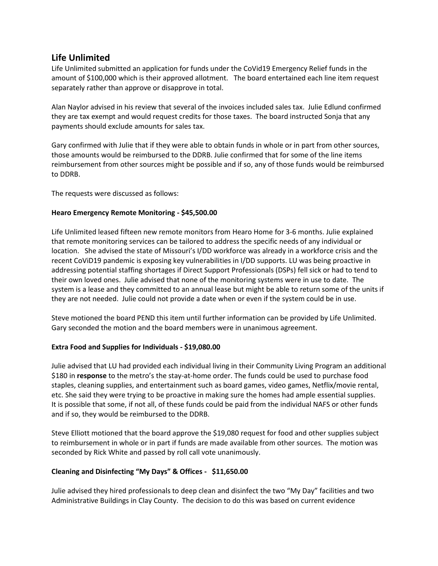# **Life Unlimited**

Life Unlimited submitted an application for funds under the CoVid19 Emergency Relief funds in the amount of \$100,000 which is their approved allotment. The board entertained each line item request separately rather than approve or disapprove in total.

Alan Naylor advised in his review that several of the invoices included sales tax. Julie Edlund confirmed they are tax exempt and would request credits for those taxes. The board instructed Sonja that any payments should exclude amounts for sales tax.

Gary confirmed with Julie that if they were able to obtain funds in whole or in part from other sources, those amounts would be reimbursed to the DDRB. Julie confirmed that for some of the line items reimbursement from other sources might be possible and if so, any of those funds would be reimbursed to DDRB.

The requests were discussed as follows:

# **Hearo Emergency Remote Monitoring - \$45,500.00**

Life Unlimited leased fifteen new remote monitors from Hearo Home for 3-6 months. Julie explained that remote monitoring services can be tailored to address the specific needs of any individual or location. She advised the state of Missouri's I/DD workforce was already in a workforce crisis and the recent CoViD19 pandemic is exposing key vulnerabilities in I/DD supports. LU was being proactive in addressing potential staffing shortages if Direct Support Professionals (DSPs) fell sick or had to tend to their own loved ones. Julie advised that none of the monitoring systems were in use to date. The system is a lease and they committed to an annual lease but might be able to return some of the units if they are not needed. Julie could not provide a date when or even if the system could be in use.

Steve motioned the board PEND this item until further information can be provided by Life Unlimited. Gary seconded the motion and the board members were in unanimous agreement.

## **Extra Food and Supplies for Individuals - \$19,080.00**

Julie advised that LU had provided each individual living in their Community Living Program an additional \$180 in **response** to the metro's the stay-at-home order. The funds could be used to purchase food staples, cleaning supplies, and entertainment such as board games, video games, Netflix/movie rental, etc. She said they were trying to be proactive in making sure the homes had ample essential supplies. It is possible that some, if not all, of these funds could be paid from the individual NAFS or other funds and if so, they would be reimbursed to the DDRB.

Steve Elliott motioned that the board approve the \$19,080 request for food and other supplies subject to reimbursement in whole or in part if funds are made available from other sources. The motion was seconded by Rick White and passed by roll call vote unanimously.

# **Cleaning and Disinfecting "My Days" & Offices - \$11,650.00**

Julie advised they hired professionals to deep clean and disinfect the two "My Day" facilities and two Administrative Buildings in Clay County. The decision to do this was based on current evidence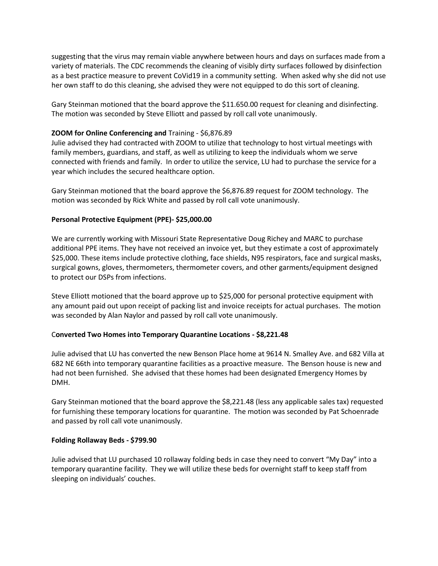suggesting that the virus may remain viable anywhere between hours and days on surfaces made from a variety of materials. The CDC recommends the cleaning of visibly dirty surfaces followed by disinfection as a best practice measure to prevent CoVid19 in a community setting. When asked why she did not use her own staff to do this cleaning, she advised they were not equipped to do this sort of cleaning.

Gary Steinman motioned that the board approve the \$11.650.00 request for cleaning and disinfecting. The motion was seconded by Steve Elliott and passed by roll call vote unanimously.

## **ZOOM for Online Conferencing and** Training - \$6,876.89

Julie advised they had contracted with ZOOM to utilize that technology to host virtual meetings with family members, guardians, and staff, as well as utilizing to keep the individuals whom we serve connected with friends and family. In order to utilize the service, LU had to purchase the service for a year which includes the secured healthcare option.

Gary Steinman motioned that the board approve the \$6,876.89 request for ZOOM technology. The motion was seconded by Rick White and passed by roll call vote unanimously.

# **Personal Protective Equipment (PPE)- \$25,000.00**

We are currently working with Missouri State Representative Doug Richey and MARC to purchase additional PPE items. They have not received an invoice yet, but they estimate a cost of approximately \$25,000. These items include protective clothing, face shields, N95 respirators, face and surgical masks, surgical gowns, gloves, thermometers, thermometer covers, and other garments/equipment designed to protect our DSPs from infections.

Steve Elliott motioned that the board approve up to \$25,000 for personal protective equipment with any amount paid out upon receipt of packing list and invoice receipts for actual purchases. The motion was seconded by Alan Naylor and passed by roll call vote unanimously.

## C**onverted Two Homes into Temporary Quarantine Locations - \$8,221.48**

Julie advised that LU has converted the new Benson Place home at 9614 N. Smalley Ave. and 682 Villa at 682 NE 66th into temporary quarantine facilities as a proactive measure. The Benson house is new and had not been furnished. She advised that these homes had been designated Emergency Homes by DMH.

Gary Steinman motioned that the board approve the \$8,221.48 (less any applicable sales tax) requested for furnishing these temporary locations for quarantine. The motion was seconded by Pat Schoenrade and passed by roll call vote unanimously.

## **Folding Rollaway Beds - \$799.90**

Julie advised that LU purchased 10 rollaway folding beds in case they need to convert "My Day" into a temporary quarantine facility. They we will utilize these beds for overnight staff to keep staff from sleeping on individuals' couches.